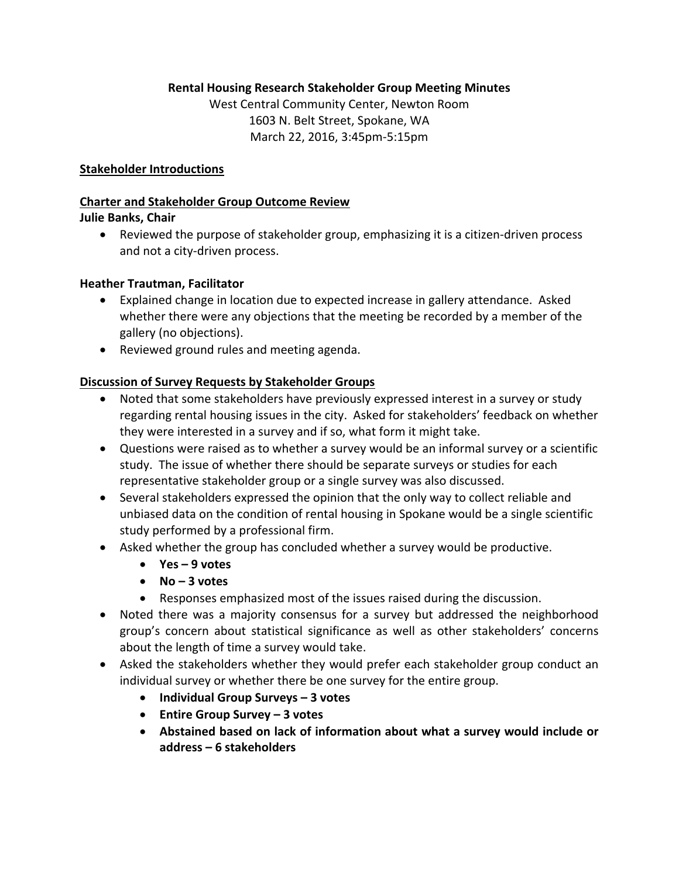### **Rental Housing Research Stakeholder Group Meeting Minutes**

West Central Community Center, Newton Room 1603 N. Belt Street, Spokane, WA March 22, 2016, 3:45pm‐5:15pm

#### **Stakeholder Introductions**

### **Charter and Stakeholder Group Outcome Review**

#### **Julie Banks, Chair**

● Reviewed the purpose of stakeholder group, emphasizing it is a citizen-driven process and not a city‐driven process.

#### **Heather Trautman, Facilitator**

- Explained change in location due to expected increase in gallery attendance. Asked whether there were any objections that the meeting be recorded by a member of the gallery (no objections).
- Reviewed ground rules and meeting agenda.

### **Discussion of Survey Requests by Stakeholder Groups**

- Noted that some stakeholders have previously expressed interest in a survey or study regarding rental housing issues in the city. Asked for stakeholders' feedback on whether they were interested in a survey and if so, what form it might take.
- Questions were raised as to whether a survey would be an informal survey or a scientific study. The issue of whether there should be separate surveys or studies for each representative stakeholder group or a single survey was also discussed.
- Several stakeholders expressed the opinion that the only way to collect reliable and unbiased data on the condition of rental housing in Spokane would be a single scientific study performed by a professional firm.
- Asked whether the group has concluded whether a survey would be productive.
	- **Yes – 9 votes**
	- **No – 3 votes**
	- Responses emphasized most of the issues raised during the discussion.
- Noted there was a majority consensus for a survey but addressed the neighborhood group's concern about statistical significance as well as other stakeholders' concerns about the length of time a survey would take.
- Asked the stakeholders whether they would prefer each stakeholder group conduct an individual survey or whether there be one survey for the entire group.
	- **Individual Group Surveys – 3 votes**
	- **Entire Group Survey – 3 votes**
	- **Abstained based on lack of information about what a survey would include or address – 6 stakeholders**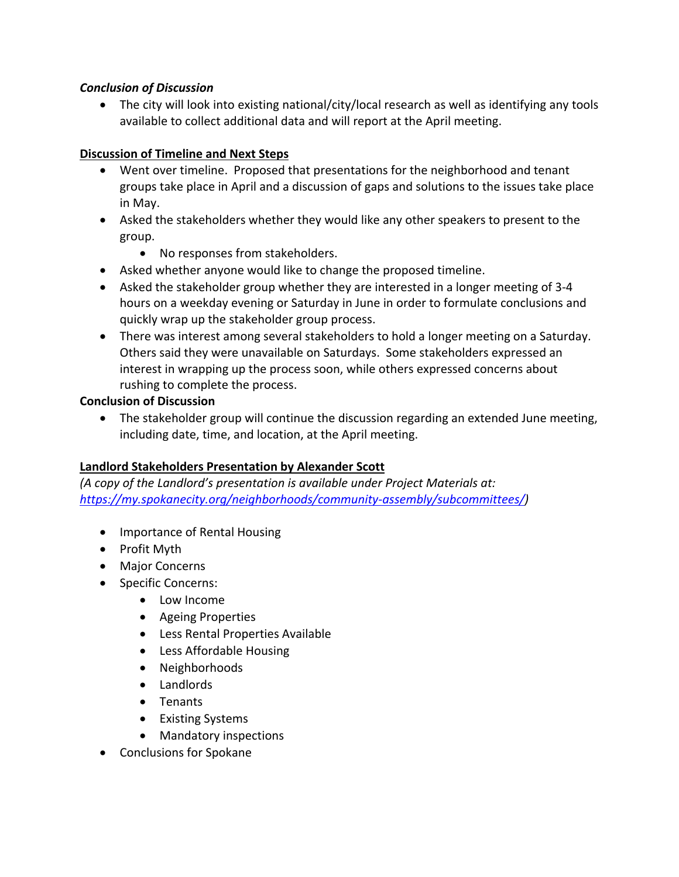## *Conclusion of Discussion*

 The city will look into existing national/city/local research as well as identifying any tools available to collect additional data and will report at the April meeting.

# **Discussion of Timeline and Next Steps**

- Went over timeline. Proposed that presentations for the neighborhood and tenant groups take place in April and a discussion of gaps and solutions to the issues take place in May.
- Asked the stakeholders whether they would like any other speakers to present to the group.
	- No responses from stakeholders.
- Asked whether anyone would like to change the proposed timeline.
- Asked the stakeholder group whether they are interested in a longer meeting of 3-4 hours on a weekday evening or Saturday in June in order to formulate conclusions and quickly wrap up the stakeholder group process.
- There was interest among several stakeholders to hold a longer meeting on a Saturday. Others said they were unavailable on Saturdays. Some stakeholders expressed an interest in wrapping up the process soon, while others expressed concerns about rushing to complete the process.

## **Conclusion of Discussion**

 The stakeholder group will continue the discussion regarding an extended June meeting, including date, time, and location, at the April meeting.

## **Landlord Stakeholders Presentation by Alexander Scott**

*(A copy of the Landlord's presentation is available under Project Materials at: https://my.spokanecity.org/neighborhoods/community‐assembly/subcommittees/)*

- Importance of Rental Housing
- Profit Myth
- Major Concerns
- Specific Concerns:
	- Low Income
	- Ageing Properties
	- Less Rental Properties Available
	- Less Affordable Housing
	- Neighborhoods
	- Landlords
	- Tenants
	- Existing Systems
	- Mandatory inspections
- Conclusions for Spokane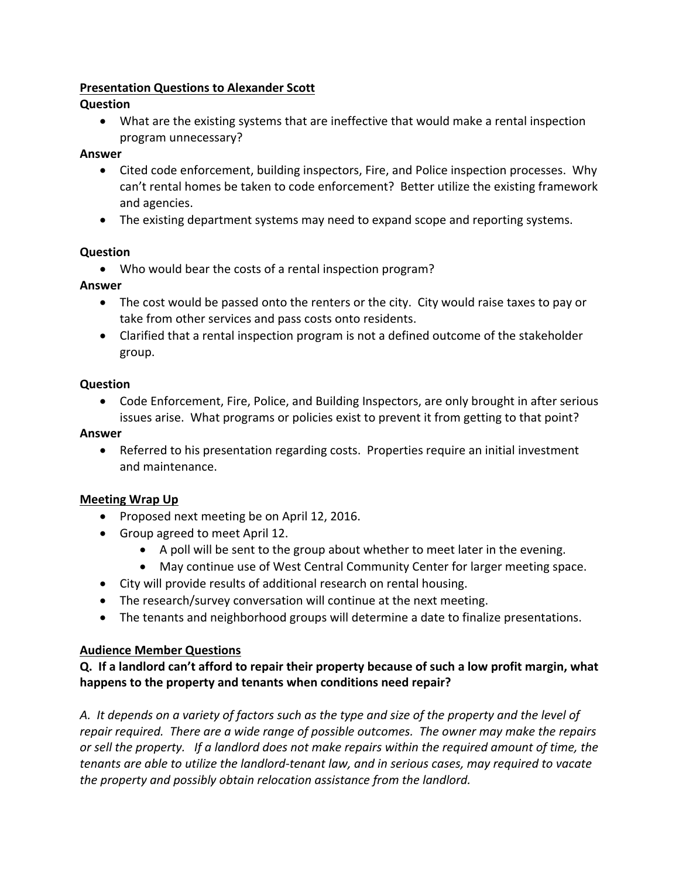## **Presentation Questions to Alexander Scott**

# **Question**

 What are the existing systems that are ineffective that would make a rental inspection program unnecessary?

## **Answer**

- Cited code enforcement, building inspectors, Fire, and Police inspection processes. Why can't rental homes be taken to code enforcement? Better utilize the existing framework and agencies.
- The existing department systems may need to expand scope and reporting systems.

# **Question**

Who would bear the costs of a rental inspection program?

# **Answer**

- The cost would be passed onto the renters or the city. City would raise taxes to pay or take from other services and pass costs onto residents.
- Clarified that a rental inspection program is not a defined outcome of the stakeholder group.

## **Question**

 Code Enforcement, Fire, Police, and Building Inspectors, are only brought in after serious issues arise. What programs or policies exist to prevent it from getting to that point?

# **Answer**

 Referred to his presentation regarding costs. Properties require an initial investment and maintenance.

# **Meeting Wrap Up**

- Proposed next meeting be on April 12, 2016.
- Group agreed to meet April 12.
	- A poll will be sent to the group about whether to meet later in the evening.
	- May continue use of West Central Community Center for larger meeting space.
- City will provide results of additional research on rental housing.
- The research/survey conversation will continue at the next meeting.
- The tenants and neighborhood groups will determine a date to finalize presentations.

# **Audience Member Questions**

# Q. If a landlord can't afford to repair their property because of such a low profit margin, what **happens to the property and tenants when conditions need repair?**

A. It depends on a variety of factors such as the type and size of the property and the level of *repair required. There are a wide range of possible outcomes. The owner may make the repairs* or sell the property. If a landlord does not make repairs within the required amount of time, the *tenants are able to utilize the landlord‐tenant law, and in serious cases, may required to vacate the property and possibly obtain relocation assistance from the landlord.*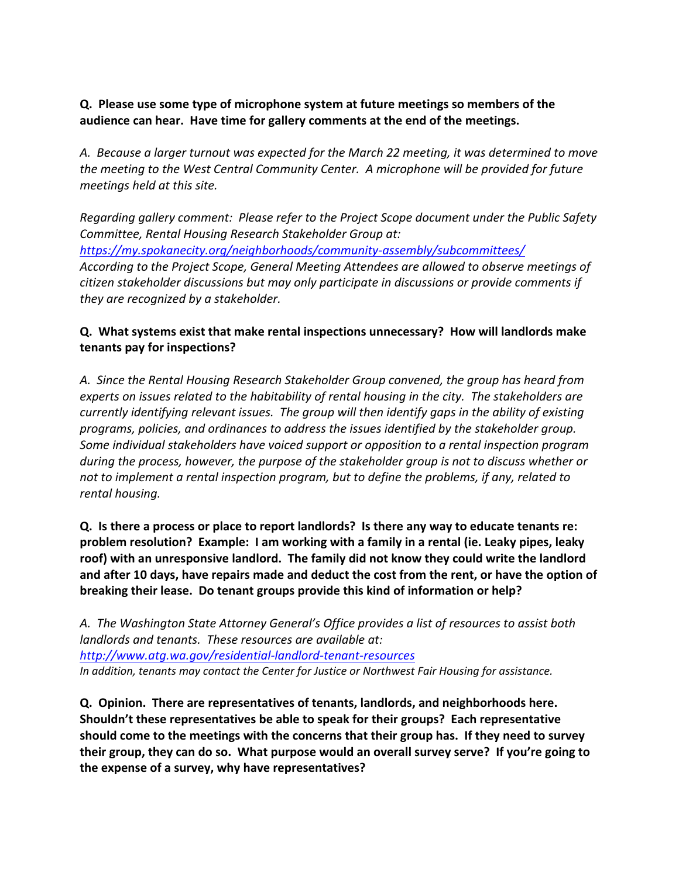## **Q. Please use some type of microphone system at future meetings so members of the audience can hear. Have time for gallery comments at the end of the meetings.**

*A. Because a larger turnout was expected for the March 22 meeting, it was determined to move the meeting to the West Central Community Center. A microphone will be provided for future meetings held at this site.*

*Regarding gallery comment: Please refer to the Project Scope document under the Public Safety Committee, Rental Housing Research Stakeholder Group at: https://my.spokanecity.org/neighborhoods/community‐assembly/subcommittees/ According to the Project Scope, General Meeting Attendees are allowed to observe meetings of citizen stakeholder discussions but may only participate in discussions or provide comments if they are recognized by a stakeholder.*

# **Q. What systems exist that make rental inspections unnecessary? How will landlords make tenants pay for inspections?**

*A. Since the Rental Housing Research Stakeholder Group convened, the group has heard from experts on issues related to the habitability of rental housing in the city. The stakeholders are currently identifying relevant issues. The group will then identify gaps in the ability of existing programs, policies, and ordinances to address the issues identified by the stakeholder group. Some individual stakeholders have voiced support or opposition to a rental inspection program during the process, however, the purpose of the stakeholder group is not to discuss whether or not to implement a rental inspection program, but to define the problems, if any, related to rental housing.* 

Q. Is there a process or place to report landlords? Is there any way to educate tenants re: **problem resolution? Example: I am working with a family in a rental (ie. Leaky pipes, leaky roof) with an unresponsive landlord. The family did not know they could write the landlord** and after 10 days, have repairs made and deduct the cost from the rent, or have the option of **breaking their lease. Do tenant groups provide this kind of information or help?**

*A. The Washington State Attorney General's Office provides a list of resources to assist both landlords and tenants. These resources are available at: http://www.atg.wa.gov/residential‐landlord‐tenant‐resources In addition, tenants may contact the Center for Justice or Northwest Fair Housing for assistance.*

**Q. Opinion. There are representatives of tenants, landlords, and neighborhoods here. Shouldn't these representatives be able to speak for their groups? Each representative should come to the meetings with the concerns that their group has. If they need to survey** their group, they can do so. What purpose would an overall survey serve? If you're going to **the expense of a survey, why have representatives?**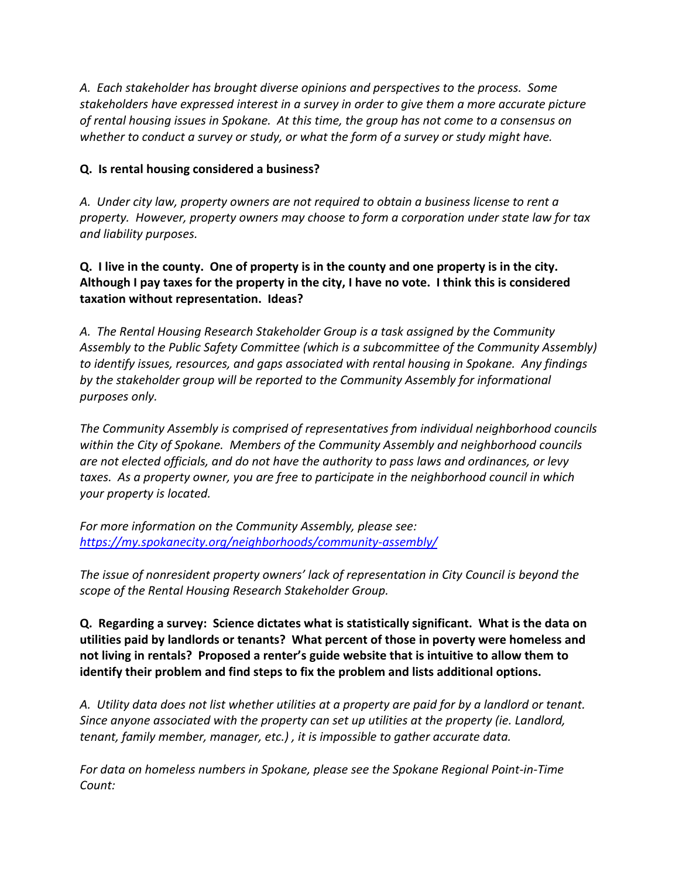*A. Each stakeholder has brought diverse opinions and perspectives to the process. Some stakeholders have expressed interest in a survey in order to give them a more accurate picture* of rental housing issues in Spokane. At this time, the group has not come to a consensus on *whether to conduct a survey or study, or what the form of a survey or study might have.*

## **Q. Is rental housing considered a business?**

*A. Under city law, property owners are not required to obtain a business license to rent a property. However, property owners may choose to form a corporation under state law for tax and liability purposes.*

# Q. I live in the county. One of property is in the county and one property is in the city. Although I pay taxes for the property in the city, I have no vote. I think this is considered **taxation without representation. Ideas?**

*A. The Rental Housing Research Stakeholder Group is a task assigned by the Community Assembly to the Public Safety Committee (which is a subcommittee of the Community Assembly) to identify issues, resources, and gaps associated with rental housing in Spokane. Any findings by the stakeholder group will be reported to the Community Assembly for informational purposes only.*

*The Community Assembly is comprised of representatives from individual neighborhood councils within the City of Spokane. Members of the Community Assembly and neighborhood councils are not elected officials, and do not have the authority to pass laws and ordinances, or levy taxes. As a property owner, you are free to participate in the neighborhood council in which your property is located.*

*For more information on the Community Assembly, please see: https://my.spokanecity.org/neighborhoods/community‐assembly/*

*The issue of nonresident property owners' lack of representation in City Council is beyond the scope of the Rental Housing Research Stakeholder Group.*

**Q. Regarding a survey: Science dictates what is statistically significant. What is the data on utilities paid by landlords or tenants? What percent of those in poverty were homeless and not living in rentals? Proposed a renter's guide website that is intuitive to allow them to identify their problem and find steps to fix the problem and lists additional options.** 

A. Utility data does not list whether utilities at a property are paid for by a landlord or tenant. *Since anyone associated with the property can set up utilities at the property (ie. Landlord, tenant, family member, manager, etc.) , it is impossible to gather accurate data.* 

*For data on homeless numbers in Spokane, please see the Spokane Regional Point‐in‐Time Count:*